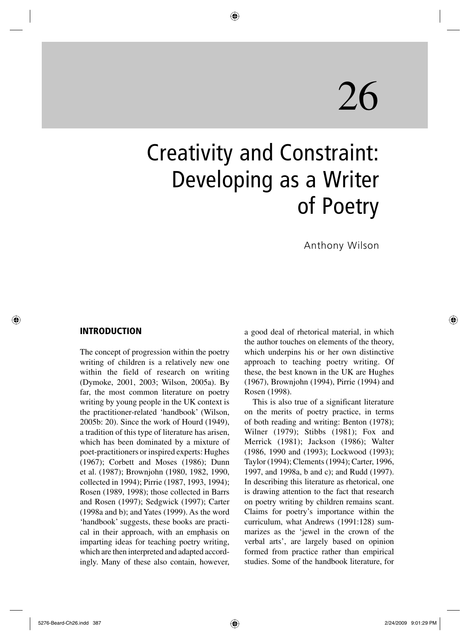# 26

# Creativity and Constraint: Developing as a Writer of Poetry

⊕

Anthony Wilson

#### INTRODUCTION

⊕

The concept of progression within the poetry writing of children is a relatively new one within the field of research on writing (Dymoke, 2001, 2003; Wilson, 2005a). By far, the most common literature on poetry writing by young people in the UK context is the practitioner-related 'handbook' (Wilson, 2005b: 20). Since the work of Hourd (1949), a tradition of this type of literature has arisen, which has been dominated by a mixture of poet-practitioners or inspired experts: Hughes (1967); Corbett and Moses (1986); Dunn et al. (1987); Brownjohn (1980, 1982, 1990, collected in 1994); Pirrie (1987, 1993, 1994); Rosen (1989, 1998); those collected in Barrs and Rosen (1997); Sedgwick (1997); Carter (1998a and b); and Yates (1999). As the word 'handbook' suggests, these books are practical in their approach, with an emphasis on imparting ideas for teaching poetry writing, which are then interpreted and adapted accordingly. Many of these also contain, however,

a good deal of rhetorical material, in which the author touches on elements of the theory, which underpins his or her own distinctive approach to teaching poetry writing. Of these, the best known in the UK are Hughes (1967), Brownjohn (1994), Pirrie (1994) and Rosen (1998).

This is also true of a significant literature on the merits of poetry practice, in terms of both reading and writing: Benton (1978); Wilner (1979); Stibbs (1981); Fox and Merrick (1981); Jackson (1986); Walter (1986, 1990 and (1993); Lockwood (1993); Taylor (1994); Clements (1994); Carter, 1996, 1997, and 1998a, b and c); and Rudd (1997). In describing this literature as rhetorical, one is drawing attention to the fact that research on poetry writing by children remains scant. Claims for poetry's importance within the curriculum, what Andrews (1991:128) summarizes as the 'jewel in the crown of the verbal arts', are largely based on opinion formed from practice rather than empirical studies. Some of the handbook literature, for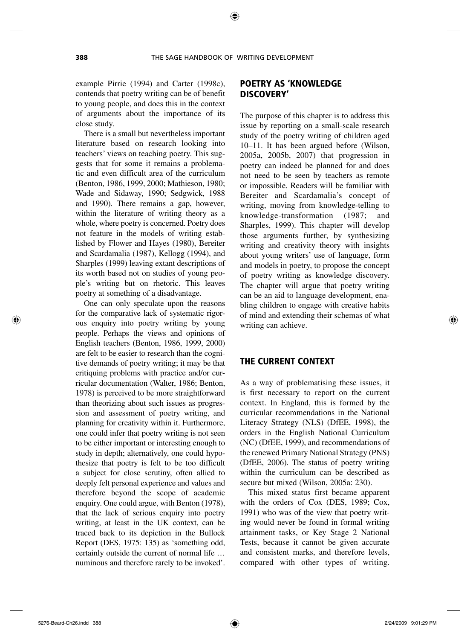example Pirrie (1994) and Carter (1998c), contends that poetry writing can be of benefit to young people, and does this in the context of arguments about the importance of its close study.

There is a small but nevertheless important literature based on research looking into teachers' views on teaching poetry. This suggests that for some it remains a problematic and even difficult area of the curriculum (Benton, 1986, 1999, 2000; Mathieson, 1980; Wade and Sidaway, 1990; Sedgwick, 1988 and 1990). There remains a gap, however, within the literature of writing theory as a whole, where poetry is concerned. Poetry does not feature in the models of writing established by Flower and Hayes (1980), Bereiter and Scardamalia (1987), Kellogg (1994), and Sharples (1999) leaving extant descriptions of its worth based not on studies of young people's writing but on rhetoric. This leaves poetry at something of a disadvantage.

One can only speculate upon the reasons for the comparative lack of systematic rigorous enquiry into poetry writing by young people. Perhaps the views and opinions of English teachers (Benton, 1986, 1999, 2000) are felt to be easier to research than the cognitive demands of poetry writing; it may be that critiquing problems with practice and/or curricular documentation (Walter, 1986; Benton, 1978) is perceived to be more straightforward than theorizing about such issues as progression and assessment of poetry writing, and planning for creativity within it. Furthermore, one could infer that poetry writing is not seen to be either important or interesting enough to study in depth; alternatively, one could hypothesize that poetry is felt to be too difficult a subject for close scrutiny, often allied to deeply felt personal experience and values and therefore beyond the scope of academic enquiry. One could argue, with Benton (1978), that the lack of serious enquiry into poetry writing, at least in the UK context, can be traced back to its depiction in the Bullock Report (DES, 1975: 135) as 'something odd, certainly outside the current of normal life … numinous and therefore rarely to be invoked'.

# POETRY AS 'KNOWLEDGE DISCOVERY'

The purpose of this chapter is to address this issue by reporting on a small-scale research study of the poetry writing of children aged 10–11. It has been argued before (Wilson, 2005a, 2005b, 2007) that progression in poetry can indeed be planned for and does not need to be seen by teachers as remote or impossible. Readers will be familiar with Bereiter and Scardamalia's concept of writing, moving from knowledge-telling to knowledge-transformation (1987; and Sharples, 1999). This chapter will develop those arguments further, by synthesizing writing and creativity theory with insights about young writers' use of language, form and models in poetry, to propose the concept of poetry writing as knowledge discovery. The chapter will argue that poetry writing can be an aid to language development, enabling children to engage with creative habits of mind and extending their schemas of what writing can achieve.

#### THE CURRENT CONTEXT

As a way of problematising these issues, it is first necessary to report on the current context. In England, this is formed by the curricular recommendations in the National Literacy Strategy (NLS) (DfEE, 1998), the orders in the English National Curriculum (NC) (DfEE, 1999), and recommendations of the renewed Primary National Strategy (PNS) (DfEE, 2006). The status of poetry writing within the curriculum can be described as secure but mixed (Wilson, 2005a: 230).

This mixed status first became apparent with the orders of Cox (DES, 1989; Cox, 1991) who was of the view that poetry writing would never be found in formal writing attainment tasks, or Key Stage 2 National Tests, because it cannot be given accurate and consistent marks, and therefore levels, compared with other types of writing.

↔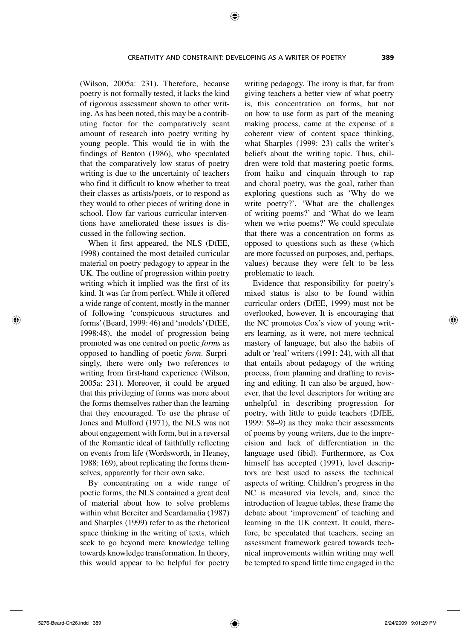(Wilson, 2005a: 231). Therefore, because poetry is not formally tested, it lacks the kind of rigorous assessment shown to other writing. As has been noted, this may be a contributing factor for the comparatively scant amount of research into poetry writing by young people. This would tie in with the findings of Benton (1986), who speculated that the comparatively low status of poetry writing is due to the uncertainty of teachers who find it difficult to know whether to treat their classes as artists/poets, or to respond as they would to other pieces of writing done in school. How far various curricular interventions have ameliorated these issues is discussed in the following section.

When it first appeared, the NLS (DfEE, 1998) contained the most detailed curricular material on poetry pedagogy to appear in the UK. The outline of progression within poetry writing which it implied was the first of its kind. It was far from perfect. While it offered a wide range of content, mostly in the manner of following 'conspicuous structures and forms' (Beard, 1999: 46) and 'models' (DfEE, 1998:48), the model of progression being promoted was one centred on poetic *forms* as opposed to handling of poetic *form*. Surprisingly, there were only two references to writing from first-hand experience (Wilson, 2005a: 231). Moreover, it could be argued that this privileging of forms was more about the forms themselves rather than the learning that they encouraged. To use the phrase of Jones and Mulford (1971), the NLS was not about engagement with form, but in a reversal of the Romantic ideal of faithfully reflecting on events from life (Wordsworth, in Heaney, 1988: 169), about replicating the forms themselves, apparently for their own sake.

By concentrating on a wide range of poetic forms, the NLS contained a great deal of material about how to solve problems within what Bereiter and Scardamalia (1987) and Sharples (1999) refer to as the rhetorical space thinking in the writing of texts, which seek to go beyond mere knowledge telling towards knowledge transformation. In theory, this would appear to be helpful for poetry

writing pedagogy. The irony is that, far from giving teachers a better view of what poetry is, this concentration on forms, but not on how to use form as part of the meaning making process, came at the expense of a coherent view of content space thinking, what Sharples (1999: 23) calls the writer's beliefs about the writing topic. Thus, children were told that mastering poetic forms, from haiku and cinquain through to rap and choral poetry, was the goal, rather than exploring questions such as 'Why do we write poetry?', 'What are the challenges of writing poems?' and 'What do we learn when we write poems?' We could speculate that there was a concentration on forms as opposed to questions such as these (which are more focussed on purposes, and, perhaps, values) because they were felt to be less problematic to teach.

Evidence that responsibility for poetry's mixed status is also to be found within curricular orders (DfEE, 1999) must not be overlooked, however. It is encouraging that the NC promotes Cox's view of young writers learning, as it were, not mere technical mastery of language, but also the habits of adult or 'real' writers (1991: 24), with all that that entails about pedagogy of the writing process, from planning and drafting to revising and editing. It can also be argued, however, that the level descriptors for writing are unhelpful in describing progression for poetry, with little to guide teachers (DfEE, 1999: 58–9) as they make their assessments of poems by young writers, due to the imprecision and lack of differentiation in the language used (ibid). Furthermore, as Cox himself has accepted (1991), level descriptors are best used to assess the technical aspects of writing. Children's progress in the NC is measured via levels, and, since the introduction of league tables, these frame the debate about 'improvement' of teaching and learning in the UK context. It could, therefore, be speculated that teachers, seeing an assessment framework geared towards technical improvements within writing may well be tempted to spend little time engaged in the

↔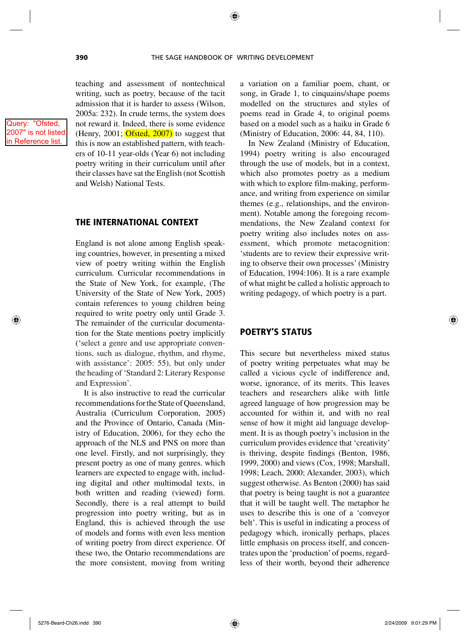teaching and assessment of nontechnical writing, such as poetry, because of the tacit admission that it is harder to assess (Wilson, 2005a: 232). In crude terms, the system does not reward it. Indeed, there is some evidence (Henry,  $2001$ ;  $Ofsted, 2007$ ) to suggest that this is now an established pattern, with teachers of 10-11 year-olds (Year 6) not including poetry writing in their curriculum until after their classes have sat the English (not Scottish and Welsh) National Tests.

#### THE INTERNATIONAL CONTEXT

England is not alone among English speaking countries, however, in presenting a mixed view of poetry writing within the English curriculum. Curricular recommendations in the State of New York, for example, (The University of the State of New York, 2005) contain references to young children being required to write poetry only until Grade 3. The remainder of the curricular documentation for the State mentions poetry implicitly ('select a genre and use appropriate conventions, such as dialogue, rhythm, and rhyme, with assistance': 2005: 55), but only under the heading of 'Standard 2: Literary Response and Expression'.

It is also instructive to read the curricular recommendations for the State of Queensland, Australia (Curriculum Corporation, 2005) and the Province of Ontario, Canada (Ministry of Education, 2006), for they echo the approach of the NLS and PNS on more than one level. Firstly, and not surprisingly, they present poetry as one of many genres. which learners are expected to engage with, including digital and other multimodal texts, in both written and reading (viewed) form. Secondly, there is a real attempt to build progression into poetry writing, but as in England, this is achieved through the use of models and forms with even less mention of writing poetry from direct experience. Of these two, the Ontario recommendations are the more consistent, moving from writing

a variation on a familiar poem, chant, or song, in Grade 1, to cinquains/shape poems modelled on the structures and styles of poems read in Grade 4, to original poems based on a model such as a haiku in Grade 6 (Ministry of Education, 2006: 44, 84, 110).

In New Zealand (Ministry of Education, 1994) poetry writing is also encouraged through the use of models, but in a context, which also promotes poetry as a medium with which to explore film-making, performance, and writing from experience on similar themes (e.g., relationships, and the environment). Notable among the foregoing recommendations, the New Zealand context for poetry writing also includes notes on assessment, which promote metacognition: 'students are to review their expressive writing to observe their own processes' (Ministry of Education, 1994:106). It is a rare example of what might be called a holistic approach to writing pedagogy, of which poetry is a part.

# POETRY'S STATUS

This secure but nevertheless mixed status of poetry writing perpetuates what may be called a vicious cycle of indifference and, worse, ignorance, of its merits. This leaves teachers and researchers alike with little agreed language of how progression may be accounted for within it, and with no real sense of how it might aid language development. It is as though poetry's inclusion in the curriculum provides evidence that 'creativity' is thriving, despite findings (Benton, 1986, 1999, 2000) and views (Cox, 1998; Marshall, 1998; Leach, 2000; Alexander, 2003), which suggest otherwise. As Benton (2000) has said that poetry is being taught is not a guarantee that it will be taught well. The metaphor he uses to describe this is one of a 'conveyor belt'. This is useful in indicating a process of pedagogy which, ironically perhaps, places little emphasis on process itself, and concentrates upon the 'production' of poems, regardless of their worth, beyond their adherence

Query: "Ofsted, 2007" is not listed in Reference list.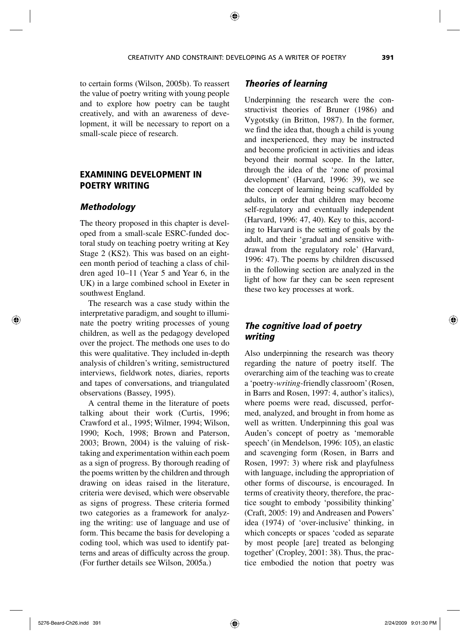to certain forms (Wilson, 2005b). To reassert the value of poetry writing with young people and to explore how poetry can be taught creatively, and with an awareness of development, it will be necessary to report on a small-scale piece of research.

#### EXAMINING DEVELOPMENT IN POETRY WRITING

#### *Methodology*

↔

The theory proposed in this chapter is developed from a small-scale ESRC-funded doctoral study on teaching poetry writing at Key Stage 2 (KS2). This was based on an eighteen month period of teaching a class of children aged 10–11 (Year 5 and Year 6, in the UK) in a large combined school in Exeter in southwest England.

The research was a case study within the interpretative paradigm, and sought to illuminate the poetry writing processes of young children, as well as the pedagogy developed over the project. The methods one uses to do this were qualitative. They included in-depth analysis of children's writing, semistructured interviews, fieldwork notes, diaries, reports and tapes of conversations, and triangulated observations (Bassey, 1995).

A central theme in the literature of poets talking about their work (Curtis, 1996; Crawford et al., 1995; Wilmer, 1994; Wilson, 1990; Koch, 1998; Brown and Paterson, 2003; Brown, 2004) is the valuing of risktaking and experimentation within each poem as a sign of progress. By thorough reading of the poems written by the children and through drawing on ideas raised in the literature, criteria were devised, which were observable as signs of progress. These criteria formed two categories as a framework for analyzing the writing: use of language and use of form. This became the basis for developing a coding tool, which was used to identify patterns and areas of difficulty across the group. (For further details see Wilson, 2005a.)

#### *Theories of learning*

Underpinning the research were the constructivist theories of Bruner (1986) and Vygotstky (in Britton, 1987). In the former, we find the idea that, though a child is young and inexperienced, they may be instructed and become proficient in activities and ideas beyond their normal scope. In the latter, through the idea of the 'zone of proximal development' (Harvard, 1996: 39), we see the concept of learning being scaffolded by adults, in order that children may become self-regulatory and eventually independent (Harvard, 1996: 47, 40). Key to this, according to Harvard is the setting of goals by the adult, and their 'gradual and sensitive withdrawal from the regulatory role' (Harvard, 1996: 47). The poems by children discussed in the following section are analyzed in the light of how far they can be seen represent these two key processes at work.

#### *The cognitive load of poetry writing*

Also underpinning the research was theory regarding the nature of poetry itself. The overarching aim of the teaching was to create a 'poetry-*writing*-friendly classroom' (Rosen, in Barrs and Rosen, 1997: 4, author's italics), where poems were read, discussed, performed, analyzed, and brought in from home as well as written. Underpinning this goal was Auden's concept of poetry as 'memorable speech' (in Mendelson, 1996: 105), an elastic and scavenging form (Rosen, in Barrs and Rosen, 1997: 3) where risk and playfulness with language, including the appropriation of other forms of discourse, is encouraged. In terms of creativity theory, therefore, the practice sought to embody 'possibility thinking' (Craft, 2005: 19) and Andreasen and Powers' idea (1974) of 'over-inclusive' thinking, in which concepts or spaces 'coded as separate by most people [are] treated as belonging together' (Cropley, 2001: 38). Thus, the practice embodied the notion that poetry was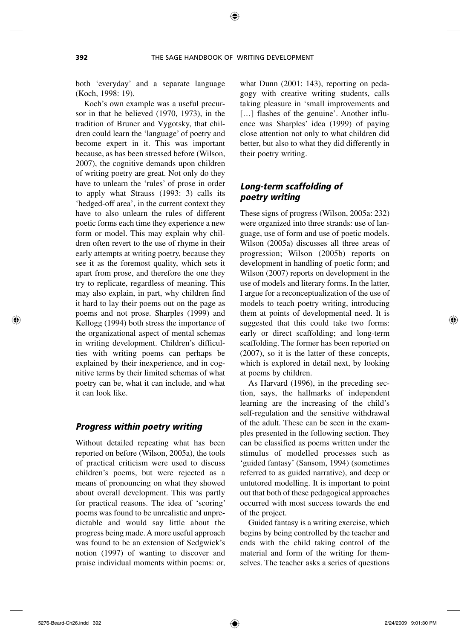both 'everyday' and a separate language (Koch, 1998: 19).

Koch's own example was a useful precursor in that he believed (1970, 1973), in the tradition of Bruner and Vygotsky, that children could learn the 'language' of poetry and become expert in it. This was important because, as has been stressed before (Wilson, 2007), the cognitive demands upon children of writing poetry are great. Not only do they have to unlearn the 'rules' of prose in order to apply what Strauss (1993: 3) calls its 'hedged-off area', in the current context they have to also unlearn the rules of different poetic forms each time they experience a new form or model. This may explain why children often revert to the use of rhyme in their early attempts at writing poetry, because they see it as the foremost quality, which sets it apart from prose, and therefore the one they try to replicate, regardless of meaning. This may also explain, in part, why children find it hard to lay their poems out on the page as poems and not prose. Sharples (1999) and Kellogg (1994) both stress the importance of the organizational aspect of mental schemas in writing development. Children's difficulties with writing poems can perhaps be explained by their inexperience, and in cognitive terms by their limited schemas of what poetry can be, what it can include, and what it can look like.

#### *Progress within poetry writing*

Without detailed repeating what has been reported on before (Wilson, 2005a), the tools of practical criticism were used to discuss children's poems, but were rejected as a means of pronouncing on what they showed about overall development. This was partly for practical reasons. The idea of 'scoring' poems was found to be unrealistic and unpredictable and would say little about the progress being made. A more useful approach was found to be an extension of Sedgwick's notion (1997) of wanting to discover and praise individual moments within poems: or,

what Dunn (2001: 143), reporting on pedagogy with creative writing students, calls taking pleasure in 'small improvements and [...] flashes of the genuine'. Another influence was Sharples' idea (1999) of paying close attention not only to what children did better, but also to what they did differently in their poetry writing.

# *Long-term scaffolding of poetry writing*

These signs of progress (Wilson, 2005a: 232) were organized into three strands: use of language, use of form and use of poetic models. Wilson (2005a) discusses all three areas of progression; Wilson (2005b) reports on development in handling of poetic form; and Wilson (2007) reports on development in the use of models and literary forms. In the latter, I argue for a reconceptualization of the use of models to teach poetry writing, introducing them at points of developmental need. It is suggested that this could take two forms: early or direct scaffolding; and long-term scaffolding. The former has been reported on (2007), so it is the latter of these concepts, which is explored in detail next, by looking at poems by children.

As Harvard (1996), in the preceding section, says, the hallmarks of independent learning are the increasing of the child's self-regulation and the sensitive withdrawal of the adult. These can be seen in the examples presented in the following section. They can be classified as poems written under the stimulus of modelled processes such as 'guided fantasy' (Sansom, 1994) (sometimes referred to as guided narrative), and deep or untutored modelling. It is important to point out that both of these pedagogical approaches occurred with most success towards the end of the project.

Guided fantasy is a writing exercise, which begins by being controlled by the teacher and ends with the child taking control of the material and form of the writing for themselves. The teacher asks a series of questions

↔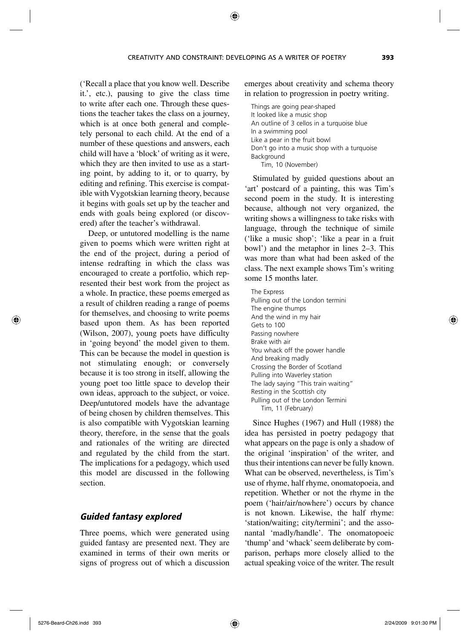('Recall a place that you know well. Describe it.', etc.), pausing to give the class time to write after each one. Through these questions the teacher takes the class on a journey, which is at once both general and completely personal to each child. At the end of a number of these questions and answers, each child will have a 'block' of writing as it were, which they are then invited to use as a starting point, by adding to it, or to quarry, by editing and refining. This exercise is compatible with Vygotskian learning theory, because it begins with goals set up by the teacher and ends with goals being explored (or discov-

ered) after the teacher's withdrawal. Deep, or untutored modelling is the name given to poems which were written right at the end of the project, during a period of intense redrafting in which the class was encouraged to create a portfolio, which represented their best work from the project as a whole. In practice, these poems emerged as a result of children reading a range of poems for themselves, and choosing to write poems based upon them. As has been reported (Wilson, 2007), young poets have difficulty in 'going beyond' the model given to them. This can be because the model in question is not stimulating enough; or conversely because it is too strong in itself, allowing the young poet too little space to develop their own ideas, approach to the subject, or voice. Deep/untutored models have the advantage of being chosen by children themselves. This is also compatible with Vygotskian learning theory, therefore, in the sense that the goals and rationales of the writing are directed and regulated by the child from the start. The implications for a pedagogy, which used this model are discussed in the following section.

#### *Guided fantasy explored*

Three poems, which were generated using guided fantasy are presented next. They are examined in terms of their own merits or signs of progress out of which a discussion emerges about creativity and schema theory in relation to progression in poetry writing.

Things are going pear-shaped It looked like a music shop An outline of 3 cellos in a turquoise blue In a swimming pool Like a pear in the fruit bowl Don't go into a music shop with a turquoise Background Tim, 10 (November)

Stimulated by guided questions about an 'art' postcard of a painting, this was Tim's second poem in the study. It is interesting because, although not very organized, the writing shows a willingness to take risks with language, through the technique of simile ('like a music shop'; 'like a pear in a fruit bowl') and the metaphor in lines 2–3. This was more than what had been asked of the class. The next example shows Tim's writing some 15 months later.

The Express Pulling out of the London termini The engine thumps And the wind in my hair Gets to 100 Passing nowhere Brake with air You whack off the power handle And breaking madly Crossing the Border of Scotland Pulling into Waverley station The lady saying "This train waiting" Resting in the Scottish city Pulling out of the London Termini Tim, 11 (February)

Since Hughes (1967) and Hull (1988) the idea has persisted in poetry pedagogy that what appears on the page is only a shadow of the original 'inspiration' of the writer, and thus their intentions can never be fully known. What can be observed, nevertheless, is Tim's use of rhyme, half rhyme, onomatopoeia, and repetition. Whether or not the rhyme in the poem ('hair/air/nowhere') occurs by chance is not known. Likewise, the half rhyme: 'station/waiting; city/termini'; and the assonantal 'madly/handle'. The onomatopoeic 'thump' and 'whack' seem deliberate by comparison, perhaps more closely allied to the actual speaking voice of the writer. The result

↔

↔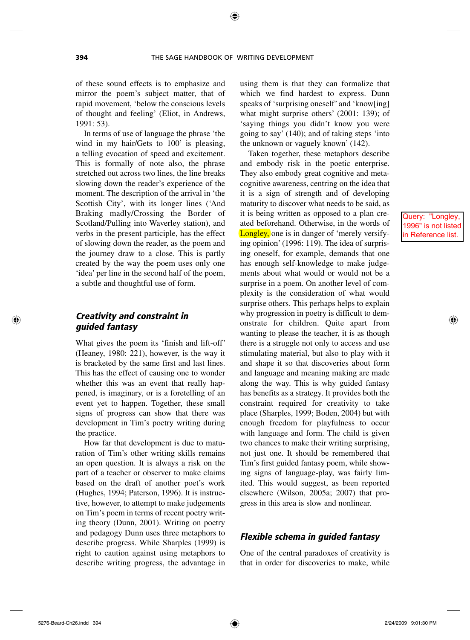of these sound effects is to emphasize and mirror the poem's subject matter, that of rapid movement, 'below the conscious levels of thought and feeling' (Eliot, in Andrews, 1991: 53).

In terms of use of language the phrase 'the wind in my hair/Gets to 100' is pleasing, a telling evocation of speed and excitement. This is formally of note also, the phrase stretched out across two lines, the line breaks slowing down the reader's experience of the moment. The description of the arrival in 'the Scottish City', with its longer lines ('And Braking madly/Crossing the Border of Scotland/Pulling into Waverley station), and verbs in the present participle, has the effect of slowing down the reader, as the poem and the journey draw to a close. This is partly created by the way the poem uses only one 'idea' per line in the second half of the poem, a subtle and thoughtful use of form.

#### *Creativity and constraint in guided fantasy*

What gives the poem its 'finish and lift-off' (Heaney, 1980: 221), however, is the way it is bracketed by the same first and last lines. This has the effect of causing one to wonder whether this was an event that really happened, is imaginary, or is a foretelling of an event yet to happen. Together, these small signs of progress can show that there was development in Tim's poetry writing during the practice.

How far that development is due to maturation of Tim's other writing skills remains an open question. It is always a risk on the part of a teacher or observer to make claims based on the draft of another poet's work (Hughes, 1994; Paterson, 1996). It is instructive, however, to attempt to make judgements on Tim's poem in terms of recent poetry writing theory (Dunn, 2001). Writing on poetry and pedagogy Dunn uses three metaphors to describe progress. While Sharples (1999) is right to caution against using metaphors to describe writing progress, the advantage in

using them is that they can formalize that which we find hardest to express. Dunn speaks of 'surprising oneself' and 'know[ing] what might surprise others' (2001: 139); of 'saying things you didn't know you were going to say' (140); and of taking steps 'into the unknown or vaguely known' (142).

Taken together, these metaphors describe and embody risk in the poetic enterprise. They also embody great cognitive and metacognitive awareness, centring on the idea that it is a sign of strength and of developing maturity to discover what needs to be said, as it is being written as opposed to a plan created beforehand. Otherwise, in the words of Longley, one is in danger of 'merely versifying opinion' (1996: 119**)**. The idea of surprising oneself, for example, demands that one has enough self-knowledge to make judgements about what would or would not be a surprise in a poem. On another level of complexity is the consideration of what would surprise others. This perhaps helps to explain why progression in poetry is difficult to demonstrate for children. Quite apart from wanting to please the teacher, it is as though there is a struggle not only to access and use stimulating material, but also to play with it and shape it so that discoveries about form and language and meaning making are made along the way. This is why guided fantasy has benefits as a strategy. It provides both the constraint required for creativity to take place (Sharples, 1999; Boden, 2004) but with enough freedom for playfulness to occur with language and form. The child is given two chances to make their writing surprising, not just one. It should be remembered that Tim's first guided fantasy poem, while showing signs of language-play, was fairly limited. This would suggest, as been reported elsewhere (Wilson, 2005a; 2007) that progress in this area is slow and nonlinear.

#### *Flexible schema in guided fantasy*

One of the central paradoxes of creativity is that in order for discoveries to make, while ⊕

↔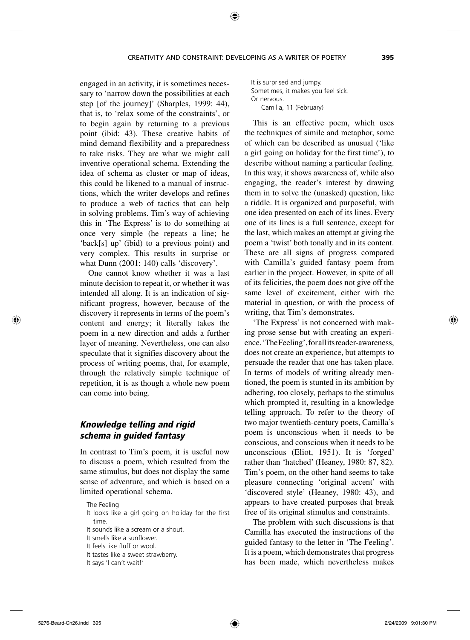engaged in an activity, it is sometimes necessary to 'narrow down the possibilities at each step [of the journey]' (Sharples, 1999: 44), that is, to 'relax some of the constraints', or to begin again by returning to a previous point (ibid: 43). These creative habits of mind demand flexibility and a preparedness to take risks. They are what we might call inventive operational schema. Extending the idea of schema as cluster or map of ideas, this could be likened to a manual of instructions, which the writer develops and refines to produce a web of tactics that can help in solving problems. Tim's way of achieving this in 'The Express' is to do something at once very simple (he repeats a line; he 'back[s] up' (ibid) to a previous point) and very complex. This results in surprise or what Dunn (2001: 140) calls 'discovery'.

One cannot know whether it was a last minute decision to repeat it, or whether it was intended all along. It is an indication of significant progress, however, because of the discovery it represents in terms of the poem's content and energy; it literally takes the poem in a new direction and adds a further layer of meaning. Nevertheless, one can also speculate that it signifies discovery about the process of writing poems, that, for example, through the relatively simple technique of repetition, it is as though a whole new poem can come into being.

# *Knowledge telling and rigid schema in guided fantasy*

In contrast to Tim's poem, it is useful now to discuss a poem, which resulted from the same stimulus, but does not display the same sense of adventure, and which is based on a limited operational schema.

The Feeling

- It looks like a girl going on holiday for the first time.
- It sounds like a scream or a shout.
- It smells like a sunflower.
- It feels like fluff or wool.
- It tastes like a sweet strawberry.
- It says 'I can't wait!'

It is surprised and jumpy. Sometimes, it makes you feel sick. Or nervous. Camilla, 11 (February)

This is an effective poem, which uses the techniques of simile and metaphor, some of which can be described as unusual ('like a girl going on holiday for the first time'), to describe without naming a particular feeling. In this way, it shows awareness of, while also engaging, the reader's interest by drawing them in to solve the (unasked) question, like a riddle. It is organized and purposeful, with one idea presented on each of its lines. Every one of its lines is a full sentence, except for the last, which makes an attempt at giving the poem a 'twist' both tonally and in its content. These are all signs of progress compared with Camilla's guided fantasy poem from earlier in the project. However, in spite of all of its felicities, the poem does not give off the same level of excitement, either with the material in question, or with the process of writing, that Tim's demonstrates.

'The Express' is not concerned with making prose sense but with creating an experience. 'The Feeling', for all its reader-awareness, does not create an experience, but attempts to persuade the reader that one has taken place. In terms of models of writing already mentioned, the poem is stunted in its ambition by adhering, too closely, perhaps to the stimulus which prompted it, resulting in a knowledge telling approach. To refer to the theory of two major twentieth-century poets, Camilla's poem is unconscious when it needs to be conscious, and conscious when it needs to be unconscious (Eliot, 1951). It is 'forged' rather than 'hatched' (Heaney, 1980: 87, 82). Tim's poem, on the other hand seems to take pleasure connecting 'original accent' with 'discovered style' (Heaney, 1980: 43), and appears to have created purposes that break free of its original stimulus and constraints.

The problem with such discussions is that Camilla has executed the instructions of the guided fantasy to the letter in 'The Feeling'. It is a poem, which demonstrates that progress has been made, which nevertheless makes

↔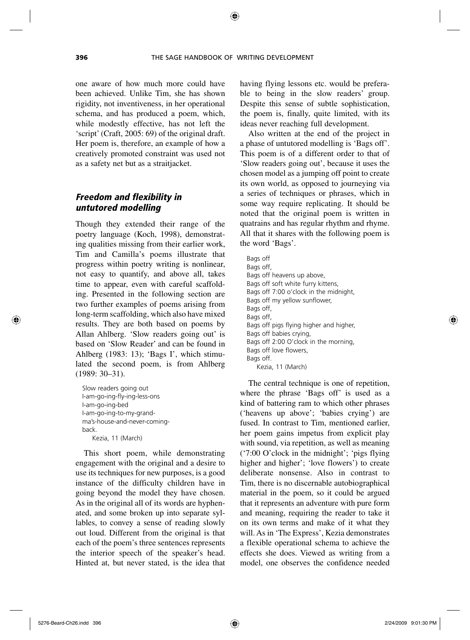one aware of how much more could have been achieved. Unlike Tim, she has shown rigidity, not inventiveness, in her operational schema, and has produced a poem, which, while modestly effective, has not left the 'script' (Craft, 2005: 69) of the original draft. Her poem is, therefore, an example of how a creatively promoted constraint was used not as a safety net but as a straitjacket.

# *Freedom and flexibility in untutored modelling*

Though they extended their range of the poetry language (Koch, 1998), demonstrating qualities missing from their earlier work, Tim and Camilla's poems illustrate that progress within poetry writing is nonlinear, not easy to quantify, and above all, takes time to appear, even with careful scaffolding. Presented in the following section are two further examples of poems arising from long-term scaffolding, which also have mixed results. They are both based on poems by Allan Ahlberg. 'Slow readers going out' is based on 'Slow Reader' and can be found in Ahlberg (1983: 13); 'Bags I', which stimulated the second poem, is from Ahlberg (1989: 30–31).

Slow readers going out I-am-go-ing-fly-ing-less-ons I-am-go-ing-bed I-am-go-ing-to-my-grandma's-house-and-never-comingback. Kezia, 11 (March)

This short poem, while demonstrating engagement with the original and a desire to use its techniques for new purposes, is a good instance of the difficulty children have in going beyond the model they have chosen. As in the original all of its words are hyphenated, and some broken up into separate syllables, to convey a sense of reading slowly out loud. Different from the original is that each of the poem's three sentences represents the interior speech of the speaker's head. Hinted at, but never stated, is the idea that

having flying lessons etc. would be preferable to being in the slow readers' group. Despite this sense of subtle sophistication, the poem is, finally, quite limited, with its ideas never reaching full development.

Also written at the end of the project in a phase of untutored modelling is 'Bags off'. This poem is of a different order to that of 'Slow readers going out', because it uses the chosen model as a jumping off point to create its own world, as opposed to journeying via a series of techniques or phrases, which in some way require replicating. It should be noted that the original poem is written in quatrains and has regular rhythm and rhyme. All that it shares with the following poem is the word 'Bags'.

```
Bags off
Bags off,
Bags off heavens up above,
Bags off soft white furry kittens,
Bags off 7:00 o'clock in the midnight,
Bags off my yellow sunflower,
Bags off,
Bags off,
Bags off pigs flying higher and higher,
Bags off babies crying,
Bags off 2:00 O'clock in the morning,
Bags off love flowers,
Bags off.
   Kezia, 11 (March)
```
The central technique is one of repetition, where the phrase 'Bags off' is used as a kind of battering ram to which other phrases ('heavens up above'; 'babies crying') are fused. In contrast to Tim, mentioned earlier, her poem gains impetus from explicit play with sound, via repetition, as well as meaning ('7:00 O'clock in the midnight'; 'pigs flying higher and higher'; 'love flowers') to create deliberate nonsense. Also in contrast to Tim, there is no discernable autobiographical material in the poem, so it could be argued that it represents an adventure with pure form and meaning, requiring the reader to take it on its own terms and make of it what they will. As in 'The Express', Kezia demonstrates a flexible operational schema to achieve the effects she does. Viewed as writing from a model, one observes the confidence needed

↔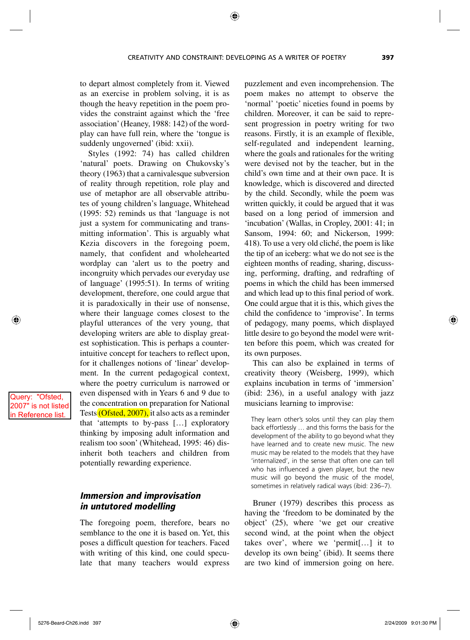to depart almost completely from it. Viewed as an exercise in problem solving, it is as though the heavy repetition in the poem provides the constraint against which the 'free association' (Heaney, 1988: 142) of the wordplay can have full rein, where the 'tongue is suddenly ungoverned' (ibid: xxii).

Styles (1992: 74) has called children 'natural' poets. Drawing on Chukovsky's theory (1963) that a carnivalesque subversion of reality through repetition, role play and use of metaphor are all observable attributes of young children's language, Whitehead (1995: 52) reminds us that 'language is not just a system for communicating and transmitting information'. This is arguably what Kezia discovers in the foregoing poem, namely, that confident and wholehearted wordplay can 'alert us to the poetry and incongruity which pervades our everyday use of language' (1995:51). In terms of writing development, therefore, one could argue that it is paradoxically in their use of nonsense, where their language comes closest to the playful utterances of the very young, that developing writers are able to display greatest sophistication. This is perhaps a counterintuitive concept for teachers to reflect upon, for it challenges notions of 'linear' development. In the current pedagogical context, where the poetry curriculum is narrowed or even dispensed with in Years 6 and 9 due to the concentration on preparation for National Tests (Ofsted, 2007), it also acts as a reminder that 'attempts to by-pass […] exploratory thinking by imposing adult information and realism too soon' (Whitehead, 1995: 46) disinherit both teachers and children from potentially rewarding experience.

# *Immersion and improvisation in untutored modelling*

The foregoing poem, therefore, bears no semblance to the one it is based on. Yet, this poses a difficult question for teachers. Faced with writing of this kind, one could speculate that many teachers would express puzzlement and even incomprehension. The poem makes no attempt to observe the 'normal' 'poetic' niceties found in poems by children. Moreover, it can be said to represent progression in poetry writing for two reasons. Firstly, it is an example of flexible, self-regulated and independent learning, where the goals and rationales for the writing were devised not by the teacher, but in the child's own time and at their own pace. It is knowledge, which is discovered and directed by the child. Secondly, while the poem was written quickly, it could be argued that it was based on a long period of immersion and 'incubation' (Wallas, in Cropley, 2001: 41; in Sansom, 1994: 60; and Nickerson, 1999: 418). To use a very old cliché, the poem is like the tip of an iceberg: what we do not see is the eighteen months of reading, sharing, discussing, performing, drafting, and redrafting of poems in which the child has been immersed and which lead up to this final period of work. One could argue that it is this, which gives the child the confidence to 'improvise'. In terms of pedagogy, many poems, which displayed little desire to go beyond the model were written before this poem, which was created for its own purposes.

This can also be explained in terms of creativity theory (Weisberg, 1999), which explains incubation in terms of 'immersion' (ibid: 236), in a useful analogy with jazz musicians learning to improvise:

They learn other's solos until they can play them back effortlessly … and this forms the basis for the development of the ability to go beyond what they have learned and to create new music. The new music may be related to the models that they have 'internalized', in the sense that often one can tell who has influenced a given player, but the new music will go beyond the music of the model, sometimes in relatively radical ways (ibid: 236–7).

Bruner (1979) describes this process as having the 'freedom to be dominated by the object' (25), where 'we get our creative second wind, at the point when the object takes over', where we 'permit[…] it to develop its own being' (ibid). It seems there are two kind of immersion going on here.

Query: "Ofsted, 2007" is not listed in Reference list.

↔

↔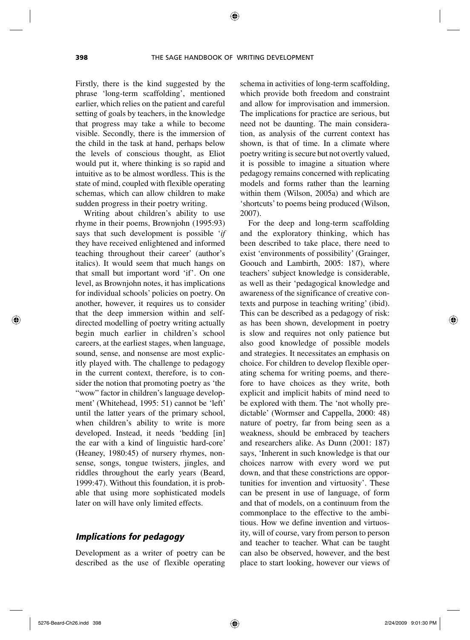Firstly, there is the kind suggested by the phrase 'long-term scaffolding', mentioned earlier, which relies on the patient and careful setting of goals by teachers, in the knowledge that progress may take a while to become visible. Secondly, there is the immersion of the child in the task at hand, perhaps below the levels of conscious thought, as Eliot would put it, where thinking is so rapid and intuitive as to be almost wordless. This is the state of mind, coupled with flexible operating schemas, which can allow children to make sudden progress in their poetry writing.

Writing about children's ability to use rhyme in their poems, Brownjohn (1995:93) says that such development is possible '*if* they have received enlightened and informed teaching throughout their career' (author's italics). It would seem that much hangs on that small but important word 'if'. On one level, as Brownjohn notes, it has implications for individual schools' policies on poetry. On another, however, it requires us to consider that the deep immersion within and selfdirected modelling of poetry writing actually begin much earlier in children's school careers, at the earliest stages, when language, sound, sense, and nonsense are most explicitly played with. The challenge to pedagogy in the current context, therefore, is to consider the notion that promoting poetry as 'the "wow" factor in children's language development' (Whitehead, 1995: 51) cannot be 'left' until the latter years of the primary school, when children's ability to write is more developed. Instead, it needs 'bedding [in] the ear with a kind of linguistic hard-core' (Heaney, 1980:45) of nursery rhymes, nonsense, songs, tongue twisters, jingles, and riddles throughout the early years (Beard, 1999:47). Without this foundation, it is probable that using more sophisticated models later on will have only limited effects.

#### *Implications for pedagogy*

Development as a writer of poetry can be described as the use of flexible operating schema in activities of long-term scaffolding, which provide both freedom and constraint and allow for improvisation and immersion. The implications for practice are serious, but need not be daunting. The main consideration, as analysis of the current context has shown, is that of time. In a climate where poetry writing is secure but not overtly valued, it is possible to imagine a situation where pedagogy remains concerned with replicating models and forms rather than the learning within them (Wilson, 2005a) and which are 'shortcuts' to poems being produced (Wilson, 2007).

For the deep and long-term scaffolding and the exploratory thinking, which has been described to take place, there need to exist 'environments of possibility' (Grainger, Goouch and Lambirth, 2005: 187), where teachers' subject knowledge is considerable, as well as their 'pedagogical knowledge and awareness of the significance of creative contexts and purpose in teaching writing' (ibid). This can be described as a pedagogy of risk: as has been shown, development in poetry is slow and requires not only patience but also good knowledge of possible models and strategies. It necessitates an emphasis on choice. For children to develop flexible operating schema for writing poems, and therefore to have choices as they write, both explicit and implicit habits of mind need to be explored with them. The 'not wholly predictable' (Wormser and Cappella, 2000: 48) nature of poetry, far from being seen as a weakness, should be embraced by teachers and researchers alike. As Dunn (2001: 187) says, 'Inherent in such knowledge is that our choices narrow with every word we put down, and that these constrictions are opportunities for invention and virtuosity'. These can be present in use of language, of form and that of models, on a continuum from the commonplace to the effective to the ambitious. How we define invention and virtuosity, will of course, vary from person to person and teacher to teacher. What can be taught can also be observed, however, and the best place to start looking, however our views of

↔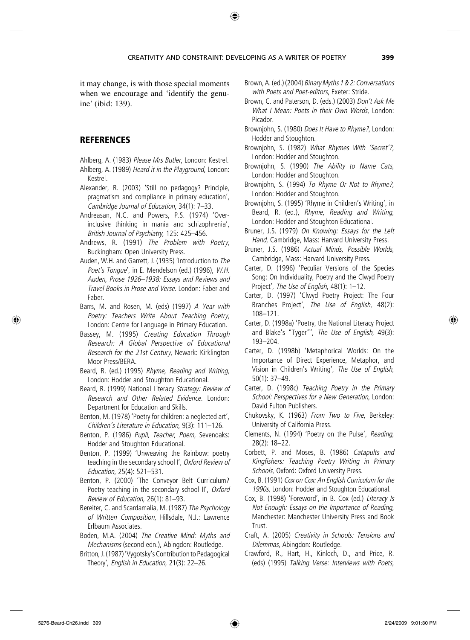it may change, is with those special moments when we encourage and 'identify the genuine' (ibid: 139).

#### **REFERENCES**

- Ahlberg, A. (1983) *Please Mrs Butler*, London: Kestrel.
- Ahlberg, A. (1989) *Heard it in the Playground*, London: Kestrel.
- Alexander, R. (2003) 'Still no pedagogy? Principle, pragmatism and compliance in primary education', *Cambridge Journal of Education*, 34(1): 7–33.
- Andreasan, N.C. and Powers, P.S. (1974) 'Overinclusive thinking in mania and schizophrenia', *British Journal of Psychiatry*, 125: 425–456.
- Andrews, R. (1991) *The Problem with Poetry*, Buckingham: Open University Press.
- Auden, W.H. and Garrett, J. (1935) 'Introduction to *The Poet's Tongue*', in E. Mendelson (ed.) (1996), *W.H. Auden, Prose 1926–1938: Essays and Reviews and Travel Books in Prose and Verse*. London: Faber and Faber.
- Barrs, M. and Rosen, M. (eds) (1997) *A Year with Poetry: Teachers Write About Teaching Poetry*, London: Centre for Language in Primary Education.
- Bassey, M. (1995) *Creating Education Through Research: A Global Perspective of Educational Research for the 21st Century*, Newark: Kirklington Moor Press/BERA.
- Beard, R. (ed.) (1995) *Rhyme, Reading and Writing*, London: Hodder and Stoughton Educational.
- Beard, R. (1999) National Literacy *Strategy: Review of Research and Other Related Evidence*. London: Department for Education and Skills.
- Benton, M. (1978) 'Poetry for children: a neglected art', *Children's Literature in Education*, 9(3): 111–126.
- Benton, P. (1986) *Pupil, Teacher, Poem*, Sevenoaks: Hodder and Stoughton Educational.
- Benton, P. (1999) 'Unweaving the Rainbow: poetry teaching in the secondary school I', *Oxford Review of Education*, 25(4): 521–531.
- Benton, P. (2000) 'The Conveyor Belt Curriculum? Poetry teaching in the secondary school II', *Oxford Review of Education*, 26(1): 81–93.
- Bereiter, C. and Scardamalia, M. (1987) *The Psychology of Written Composition*, Hillsdale, N.J.: Lawrence Erlbaum Associates.
- Boden, M.A. (2004) *The Creative Mind: Myths and Mechanisms* (second edn.), Abingdon: Routledge.
- Britton, J. (1987) 'Vygotsky's Contribution to Pedagogical Theory', *English in Education*, 21(3): 22–26.
- Brown, A. (ed.) (2004) *Binary Myths 1 & 2: Conversations with Poets and Poet-editors*, Exeter: Stride.
- Brown, C. and Paterson, D. (eds.) (2003) *Don't Ask Me What I Mean: Poets in their Own Words*, London: Picador.
- Brownjohn, S. (1980) *Does It Have to Rhyme?*, London: Hodder and Stoughton.
- Brownjohn, S. (1982) *What Rhymes With 'Secret'?*, London: Hodder and Stoughton.
- Brownjohn, S. (1990) *The Ability to Name Cats*, London: Hodder and Stoughton.
- Brownjohn, S. (1994) *To Rhyme Or Not to Rhyme?*, London: Hodder and Stoughton.
- Brownjohn, S. (1995) 'Rhyme in Children's Writing', in Beard, R. (ed.), *Rhyme, Reading and Writing*, London: Hodder and Stoughton Educational.
- Bruner, J.S. (1979) *On Knowing: Essays for the Left Hand*, Cambridge, Mass: Harvard University Press.
- Bruner, J.S. (1986) *Actual Minds, Possible Worlds*, Cambridge, Mass: Harvard University Press.
- Carter, D. (1996) 'Peculiar Versions of the Species Song: On Individuality, Poetry and the Clwyd Poetry Project', *The Use of English*, 48(1): 1–12.
- Carter, D. (1997) 'Clwyd Poetry Project: The Four Branches Project', *The Use of English*, 48(2): 108–121.
- Carter, D. (1998a) 'Poetry, the National Literacy Project and Blake's "Tyger"', *The Use of English*, 49(3): 193–204.
- Carter, D. (1998b) 'Metaphorical Worlds: On the Importance of Direct Experience, Metaphor, and Vision in Children's Writing', *The Use of English*, 50(1): 37–49.
- Carter, D. (1998c) *Teaching Poetry in the Primary School: Perspectives for a New Generation*, London: David Fulton Publishers.
- Chukovsky, K. (1963) *From Two to Five*, Berkeley: University of California Press.
- Clements, N. (1994) 'Poetry on the Pulse', *Reading*, 28(2): 18–22.
- Corbett, P. and Moses, B. (1986) *Catapults and Kingfishers: Teaching Poetry Writing in Primary Schools*, Oxford: Oxford University Press.
- Cox, B. (1991) *Cox on Cox: An English Curriculum for the 1990s*, London: Hodder and Stoughton Educational.
- Cox, B. (1998) 'Foreword', in B. Cox (ed.) *Literacy Is Not Enough: Essays on the Importance of Reading*, Manchester: Manchester University Press and Book Trust.
- Craft, A. (2005) *Creativity in Schools: Tensions and Dilemmas*, Abingdon: Routledge.
- Crawford, R., Hart, H., Kinloch, D., and Price, R. (eds) (1995) *Talking Verse: Interviews with Poets*,

⊕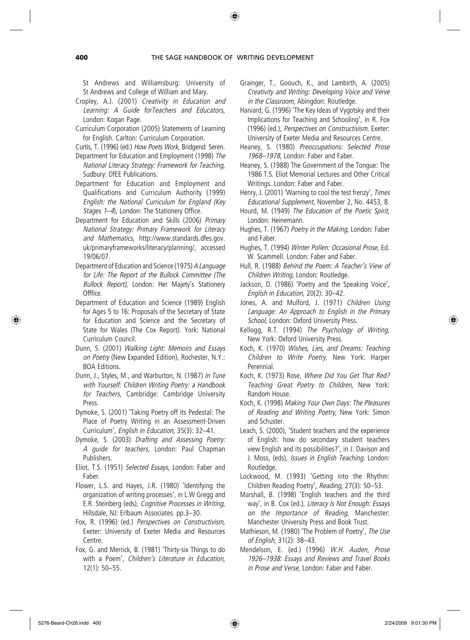St Andrews and Williamsburg: University of St Andrews and College of William and Mary.

- Cropley, A.J. (2001) *Creativity in Education and Learning: A Guide forTeachers and Educators*, London: Kogan Page.
- Curriculum Corporation (2005) Statements of Learning for English. Carlton: Curriculum Corporation.

Curtis, T. (1996) (ed.) *How Poets Work*, Bridgend: Seren.

- Department for Education and Employment (1998) *The National Literacy Strategy: Framework for Teaching*, Sudbury: DfEE Publications.
- Department for Education and Employment and Qualifications and Curriculum Authority (1999) *English: the National Curriculum for England (Key Stages 1*–*4*), London: The Stationery Office.
- Department for Education and Skills (2006) *Primary National Strategy: Primary Framework for Literacy and Mathematics*, http://www.standards.dfes.gov. uk/primaryframeworks/literacy/planning/, accessed 19/06/07.
- Department of Education and Science (1975) *A Language for Life: The Report of the Bullock Committee (The Bullock Report)*, London: Her Majety's Stationery Offfice.
- Department of Education and Science (1989) English for Ages 5 to 16: Proposals of the Secretary of State for Education and Science and the Secretary of State for Wales (The Cox Report). York: National Curriculum Council.
- Dunn, S. (2001) *Walking Light: Memoirs and Essays on Poetry* (New Expanded Edition), Rochester, N.Y.: BOA Editions.
- Dunn, J., Styles, M., and Warburton, N. (1987) *In Tune with Yourself: Children Writing Poetry: a Handbook for Teachers*, Cambridge: Cambridge University **Press**
- Dymoke, S. (2001) 'Taking Poetry off its Pedestal: The Place of Poetry Writing in an Assessment-Driven Curriculum', *English in Education*, 35(3): 32–41.
- Dymoke, S. (2003) *Drafting and Assessing Poetry: A guide for teachers*, London: Paul Chapman Publishers.
- Eliot, T.S. (1951) *Selected Essays*, London: Faber and Faber.
- Flower, L.S. and Hayes, J.R. (1980) 'Identifying the organization of writing processes', in L.W Gregg and E.R. Steinberg (eds), *Cognitive Processes in Writing*, Hillsdale, NJ: Erlbaum Associates. pp.3–30.
- Fox, R. (1996) (ed.) *Perspectives on Constructivism*, Exeter: University of Exeter Media and Resources Centre.
- Fox, G. and Merrick, B. (1981) 'Thirty-six Things to do with a Poem', *Children's Literature in Education*, 12(1): 50–55.
- Grainger, T., Goouch, K., and Lambirth, A. (2005) *Creativity and Writing: Developing Voice and Verve in the Classroom*, Abingdon: Routledge.
- Harvard, G. (1996) 'The Key Ideas of Vygotsky and their Implications for Teaching and Schooling', in R. Fox (1996) (ed.), *Perspectives on Constructivism*. Exeter: University of Exeter Media and Resources Centre.
- Heaney, S. (1980) *Preoccupations: Selected Prose 1968–1978*, London: Faber and Faber.
- Heaney, S. (1988) The Government of the Tongue: The 1986 T.S. Eliot Memorial Lectures and Other Critical Writings. London: Faber and Faber.
- Henry, J. (2001) 'Warning to cool the test frenzy', *Times Educational Supplement*, November 2, No. 4453, 8.
- Hourd, M. (1949) *The Education of the Poetic Spirit*, London: Heinemann.
- Hughes, T. (1967) *Poetry in the Making*, London: Faber and Faber.
- Hughes, T. (1994) *Winter Pollen: Occasional Prose*, Ed. W. Scammell. London: Faber and Faber.
- Hull, R. (1988) *Behind the Poem: A Teacher's View of Children Writing*, London: Routledge.
- Jackson, D. (1986) 'Poetry and the Speaking Voice', *English in Education*, 20(2): 30–42.
- Jones, A. and Mulford, J. (1971) *Children Using Language: An Approach to English in the Primary School*, London: Oxford University Press.
- Kellogg, R.T. (1994) *The Psychology of Writing*, New York: Oxford University Press.
- Koch, K. (1970) *Wishes, Lies, and Dreams: Teaching Children to Write Poetry*, New York: Harper Perennial.
- Koch, K. (1973) Rose, *Where Did You Get That Red? Teaching Great Poetry to Children*, New York: Random House.
- Koch, K. (1998) *Making Your Own Days: The Pleasures of Reading and Writing Poetry*, New York: Simon and Schuster.
- Leach, S. (2000), 'Student teachers and the experience of English: how do secondary student teachers view English and its possibilities?', in J. Davison and J. Moss, (eds), *Issues in English Teaching*. London: Routledge.
- Lockwood, M. (1993) 'Getting into the Rhythm: Children Reading Poetry', *Reading*, 27(3): 50–53.
- Marshall, B. (1998) 'English teachers and the third way', in B. Cox (ed.), *Literacy Is Not Enough: Essays on the Importance of Reading*, Manchester: Manchester University Press and Book Trust.
- Mathieson, M. (1980) 'The Problem of Poetry', *The Use of English*, 31(2): 38–43.
- Mendelson, E. (ed.) (1996) *W.H. Auden, Prose 1926–1938: Essays and Reviews and Travel Books in Prose and Verse*, London: Faber and Faber.

↔